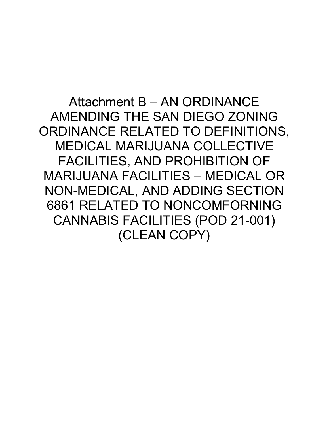Attachment B – AN ORDINANCE AMENDING THE SAN DIEGO ZONING ORDINANCE RELATED TO DEFINITIONS, MEDICAL MARIJUANA COLLECTIVE FACILITIES, AND PROHIBITION OF MARIJUANA FACILITIES – MEDICAL OR NON-MEDICAL, AND ADDING SECTION 6861 RELATED TO NONCOMFORNING CANNABIS FACILITIES (POD 21-001) (CLEAN COPY)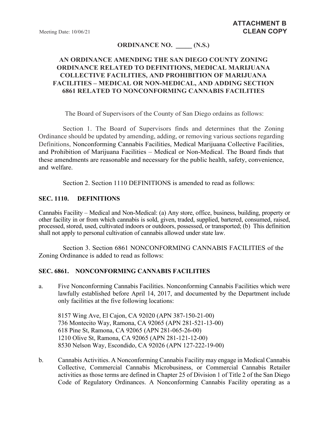### **ORDINANCE NO. \_\_\_\_\_ (N.S.)**

# **AN ORDINANCE AMENDING THE SAN DIEGO COUNTY ZONING ORDINANCE RELATED TO DEFINITIONS, MEDICAL MARIJUANA COLLECTIVE FACILITIES, AND PROHIBITION OF MARIJUANA FACILITIES – MEDICAL OR NON-MEDICAL, AND ADDING SECTION 6861 RELATED TO NONCONFORMING CANNABIS FACILITIES**

The Board of Supervisors of the County of San Diego ordains as follows:

Section 1. The Board of Supervisors finds and determines that the Zoning Ordinance should be updated by amending, adding, or removing various sections regarding Definitions, Nonconforming Cannabis Facilities, Medical Marijuana Collective Facilities, and Prohibition of Marijuana Facilities – Medical or Non-Medical. The Board finds that these amendments are reasonable and necessary for the public health, safety, convenience, and welfare.

Section 2. Section 1110 DEFINITIONS is amended to read as follows:

### **SEC. 1110. DEFINITIONS**

Cannabis Facility – Medical and Non-Medical: (a) Any store, office, business, building, property or other facility in or from which cannabis is sold, given, traded, supplied, bartered, consumed, raised, processed, stored, used, cultivated indoors or outdoors, possessed, or transported; (b) This definition shall not apply to personal cultivation of cannabis allowed under state law.

Section 3. Section 6861 NONCONFORMING CANNABIS FACILITIES of the Zoning Ordinance is added to read as follows:

#### **SEC. 6861. NONCONFORMING CANNABIS FACILITIES**

a. Five Nonconforming Cannabis Facilities. Nonconforming Cannabis Facilities which were lawfully established before April 14, 2017, and documented by the Department include only facilities at the five following locations:

8157 Wing Ave, El Cajon, CA 92020 (APN 387-150-21-00) 736 Montecito Way, Ramona, CA 92065 (APN 281-521-13-00) 618 Pine St, Ramona, CA 92065 (APN 281-065-26-00) 1210 Olive St, Ramona, CA 92065 (APN 281-121-12-00) 8530 Nelson Way, Escondido, CA 92026 (APN 127-222-19-00)

b. Cannabis Activities. A Nonconforming Cannabis Facility may engage in Medical Cannabis Collective, Commercial Cannabis Microbusiness, or Commercial Cannabis Retailer activities as those terms are defined in Chapter 25 of Division 1 of Title 2 of the San Diego Code of Regulatory Ordinances. A Nonconforming Cannabis Facility operating as a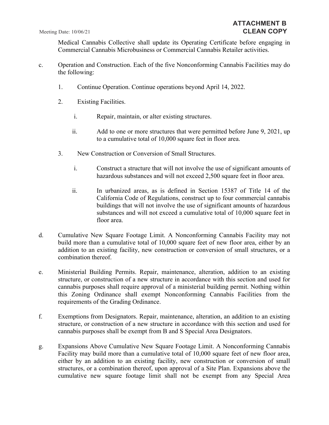Medical Cannabis Collective shall update its Operating Certificate before engaging in Commercial Cannabis Microbusiness or Commercial Cannabis Retailer activities.

- c. Operation and Construction. Each of the five Nonconforming Cannabis Facilities may do the following:
	- 1. Continue Operation. Continue operations beyond April 14, 2022.
	- 2. Existing Facilities.
		- i. Repair, maintain, or alter existing structures.
		- ii. Add to one or more structures that were permitted before June 9, 2021, up to a cumulative total of 10,000 square feet in floor area.
	- 3. New Construction or Conversion of Small Structures.
		- i. Construct a structure that will not involve the use of significant amounts of hazardous substances and will not exceed 2,500 square feet in floor area.
		- ii. In urbanized areas, as is defined in Section 15387 of Title 14 of the California Code of Regulations, construct up to four commercial cannabis buildings that will not involve the use of significant amounts of hazardous substances and will not exceed a cumulative total of 10,000 square feet in floor area.
- d. Cumulative New Square Footage Limit. A Nonconforming Cannabis Facility may not build more than a cumulative total of 10,000 square feet of new floor area, either by an addition to an existing facility, new construction or conversion of small structures, or a combination thereof.
- e. Ministerial Building Permits. Repair, maintenance, alteration, addition to an existing structure, or construction of a new structure in accordance with this section and used for cannabis purposes shall require approval of a ministerial building permit. Nothing within this Zoning Ordinance shall exempt Nonconforming Cannabis Facilities from the requirements of the Grading Ordinance.
- f. Exemptions from Designators. Repair, maintenance, alteration, an addition to an existing structure, or construction of a new structure in accordance with this section and used for cannabis purposes shall be exempt from B and S Special Area Designators.
- g. Expansions Above Cumulative New Square Footage Limit. A Nonconforming Cannabis Facility may build more than a cumulative total of 10,000 square feet of new floor area, either by an addition to an existing facility, new construction or conversion of small structures, or a combination thereof, upon approval of a Site Plan. Expansions above the cumulative new square footage limit shall not be exempt from any Special Area